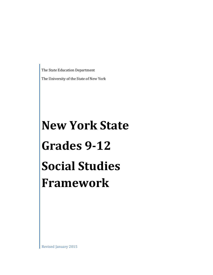<span id="page-0-5"></span><span id="page-0-4"></span><span id="page-0-2"></span><span id="page-0-1"></span><span id="page-0-0"></span>The State Education Department The University of the State of New York

# <span id="page-0-3"></span>**New York State Grades 9-12 Social Studies Framework**

Revised January 2015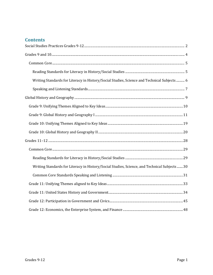### **Contents**

| Writing Standards for Literacy in History/Social Studies, Science and Technical Subjects 6  |  |
|---------------------------------------------------------------------------------------------|--|
|                                                                                             |  |
|                                                                                             |  |
|                                                                                             |  |
|                                                                                             |  |
|                                                                                             |  |
|                                                                                             |  |
|                                                                                             |  |
|                                                                                             |  |
|                                                                                             |  |
| Writing Standards for Literacy in History/Social Studies, Science, and Technical Subjects30 |  |
|                                                                                             |  |
|                                                                                             |  |
|                                                                                             |  |
|                                                                                             |  |
|                                                                                             |  |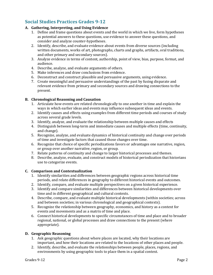### <span id="page-2-0"></span>**Social Studies Practices Grades 9-12**

### **A. Gathering, Interpreting, and Using Evidence**

- 1. Define and frame questions about events and the world in which we live, form hypotheses as potential answers to these questions, use evidence to answer these questions, and consider and analyze counter-hypotheses.
- 2. Identify, describe, and evaluate evidence about events from diverse sources (including written documents, works of art, photographs, charts and graphs, artifacts, oral traditions, and other primary and secondary sources).
- 3. Analyze evidence in terms of content, authorship, point of view, bias, purpose, format, and audience.
- 4. Describe, analyze, and evaluate arguments of others.
- 5. Make inferences and draw conclusions from evidence.
- 6. Deconstruct and construct plausible and persuasive arguments, using evidence.
- 7. Create meaningful and persuasive understandings of the past by fusing disparate and relevant evidence from primary and secondary sources and drawing connections to the present.

### **B. Chronological Reasoning and Causation**

- 1. Articulate how events are related chronologically to one another in time and explain the ways in which earlier ideas and events may influence subsequent ideas and events.
- 2. Identify causes and effects using examples from different time periods and courses of study across several grade levels.
- 3. Identify, analyze, and evaluate the relationship between multiple causes and effects
- 4. Distinguish between long-term and immediate causes and multiple effects (time, continuity, and change).
- 5. Recognize, analyze, and evaluate dynamics of historical continuity and change over periods of time and investigate factors that caused those changes over time.
- 6. Recognize that choice of specific periodizations favors or advantages one narrative, region, or group over another narrative, region, or group.
- 7. Relate patterns of continuity and change to larger historical processes and themes.
- 8. Describe, analyze, evaluate, and construct models of historical periodization that historians use to categorize events.

### **C. Comparison and Contextualization**

- 1. Identify similarities and differences between geographic regions across historical time periods, and relate differences in geography to different historical events and outcomes.
- 2. Identify, compare, and evaluate multiple perspectives on a given historical experience.
- 3. Identify and compare similarities and differences between historical developments over time and in different geographical and cultural contexts.
- 4. Describe, compare, and evaluate multiple historical developments (within societies; across and between societies; in various chronological and geographical contexts).
- 5. Recognize the relationship between geography, economics, and history as a context for events and movements and as a matrix of time and place.
- 6. Connect historical developments to specific circumstances of time and place and to broader regional, national, or global processes and draw connections to the present (where appropriate).

### **D. Geographic Reasoning**

- 1. Ask geographic questions about where places are located, why their locations are important, and how their locations are related to the locations of other places and people.
- 2. Identify, describe, and evaluate the relationships between people, places, regions, and environments by using geographic tools to place them in a spatial context.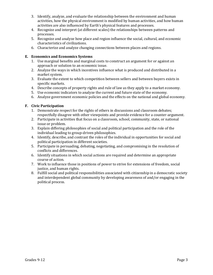- 3. Identify, analyze, and evaluate the relationship between the environment and human activities, how the physical environment is modified by human activities, and how human activities are also influenced by Earth's physical features and processes.
- 4. Recognize and interpret (at different scales) the relationships between patterns and processes.
- 5. Recognize and analyze how place and region influence the social, cultural, and economic characteristics of civilizations.
- 6. Characterize and analyze changing connections between places and regions.

### **E. Economics and Economics Systems**

- 1. Use marginal benefits and marginal costs to construct an argument for or against an approach or solution to an economic issue.
- 2. Analyze the ways in which incentives influence what is produced and distributed in a market system.
- 3. Evaluate the extent to which competition between sellers and between buyers exists in specific markets.
- 4. Describe concepts of property rights and rule of law as they apply to a market economy.
- 5. Use economic indicators to analyze the current and future state of the economy.
- 6. Analyze government economic policies and the effects on the national and global economy.

### **F. Civic Participation**

- 1. Demonstrate respect for the rights of others in discussions and classroom debates; respectfully disagree with other viewpoints and provide evidence for a counter-argument.
- 2. Participate in activities that focus on a classroom, school, community, state, or national issue or problem.
- 3. Explain differing philosophies of social and political participation and the role of the individual leading to group-driven philosophies.
- 4. Identify, describe, and contrast the roles of the individual in opportunities for social and political participation in different societies.
- 5. Participate in persuading, debating, negotiating, and compromising in the resolution of conflicts and differences.
- 6. Identify situations in which social actions are required and determine an appropriate course of action.
- 7. Work to influence those in positions of power to strive for extensions of freedom, social justice, and human rights.
- 8. Fulfill social and political responsibilities associated with citizenship in a democratic society and interdependent global community by developing awareness of and/or engaging in the political process.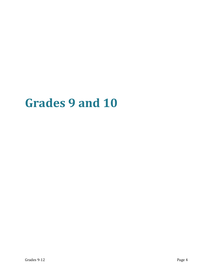## <span id="page-4-0"></span>**Grades 9 and 10**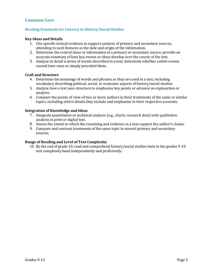### <span id="page-5-0"></span>**Common Core**

### <span id="page-5-1"></span>**Reading Standards for Literacy in History/Social Studies**

### **Key Ideas and Details**

- 1. Cite specific textual evidence to support analysis of primary and secondary sources, attending to such features as the date and origin of the information.
- 2. Determine the central ideas or information of a primary or secondary source; provide an accurate summary of how key events or ideas develop over the course of the text.
- 3. Analyze in detail a series of events described in a text; determine whether earlier events caused later ones or simply preceded them.

### **Craft and Structure**

- 4. Determine the meanings of words and phrases as they are used in a text, including vocabulary describing political, social, or economic aspects of history/social studies.
- 5. Analyze how a text uses structure to emphasize key points or advance an explanation or analysis.
- 6. Compare the points of view of two or more authors in their treatments of the same or similar topics, including which details they include and emphasize in their respective accounts.

### **Integration of Knowledge and Ideas**

- 7. Integrate quantitative or technical analysis (e.g., charts, research data) with qualitative analysis in print or digital text.
- 8. Assess the extent to which the reasoning and evidence in a text support the author's claims.
- 9. Compare and contrast treatments of the same topic in several primary and secondary sources.

### **Range of Reading and Level of Text Complexity**

10. By the end of grade 10, read and comprehend history/social studies texts in the grades 9-10 text complexity band independently and proficiently.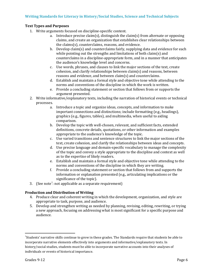### <span id="page-6-0"></span>**Writing Standards for Literacy in History/Social Studies, Science and Technical Subjects**

### **Text Types and Purposes**

- 1. Write arguments focused on discipline-specific content.
	- a. Introduce precise claim(s), distinguish the claim(s) from alternate or opposing claims, and create an organization that establishes clear relationships between the claims(s), counterclaims, reasons, and evidence.
	- b. Develop claim(s) and counterclaims fairly, supplying data and evidence for each while pointing out the strengths and limitations of both claim(s) and counterclaims in a discipline-appropriate form, and in a manner that anticipates the audience's knowledge level and concerns.
	- c. Use words, phrases, and clauses to link the major sections of the text, create cohesion, and clarify relationships between claim(s) and reasons, between reasons and evidence, and between claim(s) and counterclaims.
	- d. Establish and maintain a formal style and objective tone while attending to the norms and conventions of the discipline in which the work is written.
	- e. Provide a concluding statement or section that follows from or supports the argument presented.
- 2. Write informative/explanatory texts, including the narration of historical events or technical processes.
	- a. Introduce a topic and organize ideas, concepts, and information to make important connections and distinctions; include formatting (e.g., headings), graphics (e.g., figures, tables), and multimedia, when useful to aiding comparison.
	- b. Develop the topic with well-chosen, relevant, and sufficient facts, extended definitions, concrete details, quotations, or other information and examples appropriate to the audience's knowledge of the topic.
	- c. Use varied transitions and sentence structures to link the major sections of the text, create cohesion, and clarify the relationships between ideas and concepts.
	- d. Use precise language and domain-specific vocabulary to manage the complexity of the topic and convey a style appropriate to the discipline and context as well as to the expertise of likely readers.
	- e. Establish and maintain a formal style and objective tone while attending to the norms and conventions of the discipline in which they are writing.
	- f. Provide a concluding statement or section that follows from and supports the information or explanation presented (e.g., articulating implications or the significance of the topic).
- 3. (See note<sup>[∗](#page-6-1)</sup>: not applicable as a separate requirement)

### **Production and Distribution of Writing**

- 4. Produce clear and coherent writing in which the development, organization, and style are appropriate to task, purpose, and audience.
- 5. Develop and strengthen writing as needed by planning, revising, editing, rewriting, or trying a new approach, focusing on addressing what is most significant for a specific purpose and audience.

 $\overline{\phantom{a}}$ 

<span id="page-6-1"></span><sup>∗</sup> Students' narrative skills continue to grow in these grades. The Standards require that students be able to incorporate narrative elements effectively into arguments and informative/explanatory texts. In history/social studies, students must be able to incorporate narrative accounts into their analyses of individuals or events of historical importance.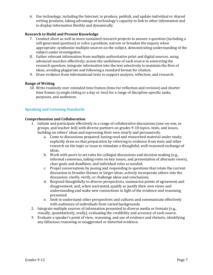6. Use technology, including the Internet, to produce, publish, and update individual or shared writing products, taking advantage of technology's capacity to link to other information and to display information flexibly and dynamically.

### **Research to Build and Present Knowledge**

- 7. Conduct short as well as more sustained research projects to answer a question (including a self-generated question) or solve a problem; narrow or broaden the inquiry when appropriate; synthesize multiple sources on the subject, demonstrating understanding of the subject under investigation.
- 8. Gather relevant information from multiple authoritative print and digital sources, using advanced searches effectively; assess the usefulness of each source in answering the research question; integrate information into the text selectively to maintain the flow of ideas, avoiding plagiarism and following a standard format for citation.
- 9. Draw evidence from informational texts to support analysis, reflection, and research.

### **Range of Writing**

10. Write routinely over extended time frames (time for reflection and revision) and shorter time frames (a single sitting or a day or two) for a range of discipline-specific tasks, purposes, and audiences.

### <span id="page-7-0"></span>**Speaking and Listening Standards**

### **Comprehension and Collaboration**

- 1. Initiate and participate effectively in a range of collaborative discussions (one-on-one, in groups, and teacher-led) with diverse partners on grades 9-10 topics, texts, and issues, building on others' ideas and expressing their own clearly and persuasively.
	- a. Come to discussions prepared, having read and researched material under study; explicitly draw on that preparation by referring to evidence from texts and other research on the topic or issue to stimulate a thoughtful, well-reasoned exchange of ideas.
	- b. Work with peers to set rules for collegial discussions and decision making (e.g., informal consensus, taking votes on key issues, and presentation of alternate views), clear goals and deadlines, and individual roles as needed.
	- c. Propel conversations by posing and responding to questions that relate the current discussion to broader themes or larger ideas; actively incorporate others into the discussion; clarify, verify, or challenge ideas and conclusions.
	- d. Respond thoughtfully to diverse perspectives, summarize points of agreement and disagreement, and, when warranted, qualify or justify their own views and understanding and make new connections in light of the evidence and reasoning presented.
	- e. Seek to understand other perspectives and cultures and communicate effectively with audiences of individuals from varied backgrounds.
- 2. Integrate multiple sources of information presented in diverse media or formats (e.g., visually, quantitatively, orally), evaluating the credibility and accuracy of each source.
- 3. Evaluate a speaker's point of view, reasoning, and use of evidence and rhetoric, identifying any fallacious reasoning or exaggerated or distorted evidence.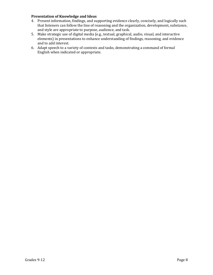### **Presentation of Knowledge and Ideas**

- 4. Present information, findings, and supporting evidence clearly, concisely, and logically such that listeners can follow the line of reasoning and the organization, development, substance, and style are appropriate to purpose, audience, and task.
- 5. Make strategic use of digital media (e.g., textual, graphical, audio, visual, and interactive elements) in presentations to enhance understanding of findings, reasoning, and evidence and to add interest.
- 6. Adapt speech to a variety of contexts and tasks, demonstrating a command of formal English when indicated or appropriate.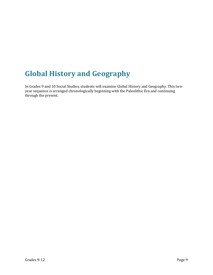### <span id="page-9-0"></span>**Global History and Geography**

In Grades 9 and 10 Social Studies, students will examine Global History and Geography. This twoyear sequence is arranged chronologically beginning with the Paleolithic Era and continuing through the present.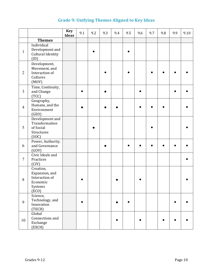### **Grade 9: Unifying Themes Aligned to Key Ideas**

<span id="page-10-0"></span>

|                |                                                                               | <b>Key</b><br>Ideas | 9.1 | 9.2 | 9.3 | 9.4 | 9.5 | 9.6 | 9.7 | 9.8 | 9.9 | 9.10 |
|----------------|-------------------------------------------------------------------------------|---------------------|-----|-----|-----|-----|-----|-----|-----|-----|-----|------|
|                | <b>Themes</b>                                                                 |                     |     |     |     |     |     |     |     |     |     |      |
| $\mathbf{1}$   | Individual<br>Development and<br>Cultural Identity<br>(ID)                    |                     |     |     |     |     |     |     |     |     |     |      |
| $\overline{2}$ | Development,<br>Movement, and<br>Interaction of<br>Cultures<br>(MOV)          |                     |     |     |     |     |     |     |     |     |     |      |
| 3              | Time, Continuity,<br>and Change<br>(TCC)                                      |                     |     |     |     |     |     |     |     |     |     |      |
| $\overline{4}$ | Geography,<br>Humans, and the<br>Environment<br>(GEO)                         |                     |     |     |     |     |     |     |     |     |     |      |
| 5              | Development and<br>Transformation<br>of Social<br>Structures<br>(SOC)         |                     |     |     |     |     |     |     |     |     |     |      |
| 6              | Power, Authority,<br>and Governance<br>(GOV)                                  |                     |     |     |     |     |     |     |     |     |     |      |
| $\tau$         | Civic Ideals and<br>Practices<br>(CIV)                                        |                     |     |     |     |     |     |     |     |     |     |      |
| 8              | Creation,<br>Expansion, and<br>Interaction of<br>Economic<br>Systems<br>(ECO) |                     |     |     |     |     |     |     |     |     |     |      |
| 9              | Science,<br>Technology, and<br>Innovation<br>(TECH)                           |                     |     |     |     |     |     |     |     |     |     |      |
| 10             | Global<br>Connections and<br>Exchange<br>(EXCH)                               |                     |     |     |     |     |     |     |     |     |     |      |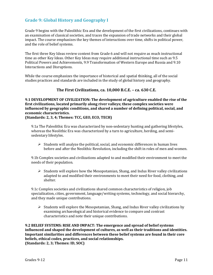### <span id="page-11-0"></span>**Grade 9: Global History and Geography I**

Grade 9 begins with the Paleolithic Era and the development of the first civilizations, continues with an examination of classical societies, and traces the expansion of trade networks and their global impact. The course emphasizes the key themes of interactions over time, shifts in political power, and the role of belief systems.

The first three Key Ideas review content from Grade 6 and will not require as much instructional time as other Key Ideas. Other Key Ideas may require additional instructional time such as 9.5 Political Powers and Achievements, 9.9 Transformation of Western Europe and Russia and 9.10 Interactions and Disruptions.

While the course emphasizes the importance of historical and spatial thinking, all of the social studies practices and standards are included in the study of global history and geography.

### **The First Civilizations, ca. 10,000 B.C.E. – ca. 630 C.E.**

**9.1 DEVELOPMENT OF CIVILIZATION: The development of agriculture enabled the rise of the first civilizations, located primarily along river valleys; these complex societies were influenced by geographic conditions, and shared a number of defining political, social, and economic characteristics.**

**(Standards: 2, 3, 4; Themes: TCC, GEO, ECO, TECH)**

9.1a The Paleolithic Era was characterized by non-sedentary hunting and gathering lifestyles, whereas the Neolithic Era was characterized by a turn to agriculture, herding, and semisedentary lifestyles.

 $\triangleright$  Students will analyze the political, social, and economic differences in human lives before and after the Neolithic Revolution, including the shift in roles of men and women.

9.1b Complex societies and civilizations adapted to and modified their environment to meet the needs of their population.

 $\triangleright$  Students will explore how the Mesopotamian, Shang, and Indus River valley civilizations adapted to and modified their environments to meet their need for food, clothing, and shelter.

9.1c Complex societies and civilizations shared common characteristics of religion, job specialization, cities, government, language/writing systems, technology, and social hierarchy, and they made unique contributions.

 $\triangleright$  Students will explore the Mesopotamian, Shang, and Indus River valley civilizations by examining archaeological and historical evidence to compare and contrast characteristics and note their unique contributions.

**9.2 BELIEF SYSTEMS: RISE AND IMPACT: The emergence and spread of belief systems influenced and shaped the development of cultures, as well as their traditions and identities. Important similarities and differences between these belief systems are found in their core beliefs, ethical codes, practices, and social relationships. (Standards: 2, 3; Themes: ID, SOC)**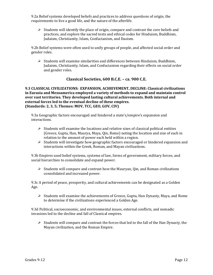9.2a Belief systems developed beliefs and practices to address questions of origin, the requirements to live a good life, and the nature of the afterlife.

 $\triangleright$  Students will identify the place of origin, compare and contrast the core beliefs and practices, and explore the sacred texts and ethical codes for Hinduism, Buddhism, Judaism, Christianity, Islam, Confucianism, and Daoism.

9.2b Belief systems were often used to unify groups of people, and affected social order and gender roles.

 $\triangleright$  Students will examine similarities and differences between Hinduism, Buddhism, Judaism, Christianity, Islam, and Confucianism regarding their effects on social order and gender roles.

### **Classical Societies, 600 B.C.E. – ca. 900 C.E.**

**9.3 CLASSICAL CIVILIZATIONS: EXPANSION, ACHIEVEMENT, DECLINE: Classical civilizations in Eurasia and Mesoamerica employed a variety of methods to expand and maintain control over vast territories. They developed lasting cultural achievements. Both internal and external forces led to the eventual decline of these empires. (Standards: 2, 3, 5; Themes: MOV, TCC, GEO, GOV, CIV)**

9.3a Geographic factors encouraged and hindered a state's/empire's expansion and interactions.

- $\triangleright$  Students will examine the locations and relative sizes of classical political entities (Greece, Gupta, Han, Maurya, Maya, Qin, Rome) noting the location and size of each in relation to the amount of power each held within a region.
- $\triangleright$  Students will investigate how geographic factors encouraged or hindered expansion and interactions within the Greek, Roman, and Mayan civilizations.

9.3b Empires used belief systems, systems of law, forms of government, military forces, and social hierarchies to consolidate and expand power.

 $\triangleright$  Students will compare and contrast how the Mauryan, Qin, and Roman civilizations consolidated and increased power.

9.3c A period of peace, prosperity, and cultural achievements can be designated as a Golden Age.

 $\triangleright$  Students will examine the achievements of Greece, Gupta, Han Dynasty, Maya, and Rome to determine if the civilizations experienced a Golden Age.

9.3d Political, socioeconomic, and environmental issues, external conflicts, and nomadic invasions led to the decline and fall of Classical empires.

 $\triangleright$  Students will compare and contrast the forces that led to the fall of the Han Dynasty, the Mayan civilization, and the Roman Empire.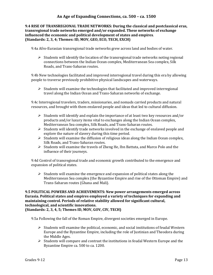**9.4 RISE OF TRANSREGIONAL TRADE NETWORKS: During the classical and postclassical eras, transregional trade networks emerged and/or expanded. These networks of exchange influenced the economic and political development of states and empires**. **(Standards: 2, 3, 4; Themes: ID, MOV, GEO, ECO, TECH, EXCH)**

9.4a Afro-Eurasian transregional trade networks grew across land and bodies of water.

 $\triangleright$  Students will identify the location of the transregional trade networks noting regional connections between the Indian Ocean complex, Mediterranean Sea complex, Silk Roads, and Trans-Saharan routes.

9.4b New technologies facilitated and improved interregional travel during this era by allowing people to traverse previously prohibitive physical landscapes and waterways.

 $\triangleright$  Students will examine the technologies that facilitated and improved interregional travel along the Indian Ocean and Trans-Saharan networks of exchange.

9.4c Interregional travelers, traders, missionaries, and nomads carried products and natural resources, and brought with them enslaved people and ideas that led to cultural diffusion.

- $\triangleright$  Students will identify and explain the importance of at least two key resources and/or products and/or luxury items vital to exchanges along the Indian Ocean complex, Mediterranean Sea complex, Silk Roads, and Trans-Saharan routes.
- $\triangleright$  Students will identify trade networks involved in the exchange of enslaved people and explore the nature of slavery during this time period.
- $\triangleright$  Students will examine the diffusion of religious ideas along the Indian Ocean complex, Silk Roads, and Trans-Saharan routes.
- $\triangleright$  Students will examine the travels of Zheng He, Ibn Battuta, and Marco Polo and the influence of their journeys.

9.4d Control of transregional trade and economic growth contributed to the emergence and expansion of political states.

 $\triangleright$  Students will examine the emergence and expansion of political states along the Mediterranean Sea complex (the Byzantine Empire and rise of the Ottoman Empire) and Trans-Saharan routes (Ghana and Mali).

### **9.5 POLITICAL POWERS AND ACHIEVEMENTS: New power arrangements emerged across Eurasia. Political states and empires employed a variety of techniques for expanding and maintaining control. Periods of relative stability allowed for significant cultural, technological, and scientific innovations. (Standards: 2, 3, 4, 5; Themes ID, MOV, GOV, CIV, TECH)**

9.5a Following the fall of the Roman Empire, divergent societies emerged in Europe.

- $\triangleright$  Students will examine the political, economic, and social institutions of feudal Western Europe and the Byzantine Empire, including the role of Justinian and Theodora during the Middle Ages.
- $\triangleright$  Students will compare and contrast the institutions in feudal Western Europe and the Byzantine Empire ca. 500 to ca. 1200.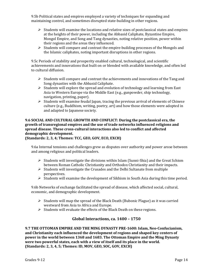9.5b Political states and empires employed a variety of techniques for expanding and maintaining control, and sometimes disrupted state-building in other regions.

- $\triangleright$  Students will examine the locations and relative sizes of postclassical states and empires at the heights of their power, including the Abbasid Caliphate, Byzantine Empire, Mongol Empire, and Song and Tang dynasties, noting relative position, power within their regions and the areas they influenced.
- $\triangleright$  Students will compare and contrast the empire-building processes of the Mongols and the Islamic caliphates, noting important disruptions in other regions.

9.5c Periods of stability and prosperity enabled cultural, technological, and scientific achievements and innovations that built on or blended with available knowledge, and often led to cultural diffusion.

- $\triangleright$  Students will compare and contrast the achievements and innovations of the Tang and Song dynasties with the Abbasid Caliphate.
- $\triangleright$  Students will explore the spread and evolution of technology and learning from East Asia to Western Europe via the Middle East (e.g., gunpowder, ship technology, navigation, printing, paper).
- $\triangleright$  Students will examine feudal Japan, tracing the previous arrival of elements of Chinese culture (e.g., Buddhism, writing, poetry, art) and how those elements were adopted in and adapted to Japanese society.

### **9.6 SOCIAL AND CULTURAL GROWTH AND CONFLICT: During the postclassical era, the growth of transregional empires and the use of trade networks influenced religions and spread disease. These cross-cultural interactions also led to conflict and affected demographic development.**

### **(Standards: 2, 3, 4; Themes: TCC, GEO, GOV, ECO, EXCH)**

9.6a Internal tensions and challenges grew as disputes over authority and power arose between and among religious and political leaders.

- $\triangleright$  Students will investigate the divisions within Islam (Sunni-Shia) and the Great Schism between Roman Catholic Christianity and Orthodox Christianity and their impacts.
- $\triangleright$  Students will investigate the Crusades and the Delhi Sultanate from multiple perspectives.
- $\triangleright$  Students will examine the development of Sikhism in South Asia during this time period.

9.6b Networks of exchange facilitated the spread of disease, which affected social, cultural, economic, and demographic development.

- $\triangleright$  Students will map the spread of the Black Death (Bubonic Plague) as it was carried westward from Asia to Africa and Europe.
- $\triangleright$  Students will evaluate the effects of the Black Death on these regions.

### **Global Interactions, ca. 1400 – 1750**

**9.7 THE OTTOMAN EMPIRE AND THE MING DYNASTY PRE-1600: Islam, Neo-Confucianism, and Christianity each influenced the development of regions and shaped key centers of power in the world between 1368 and 1683. The Ottoman Empire and the Ming Dynasty were two powerful states, each with a view of itself and its place in the world. (Standards: 2, 3, 4, 5; Themes: ID, MOV, GEO, SOC, GOV, EXCH)**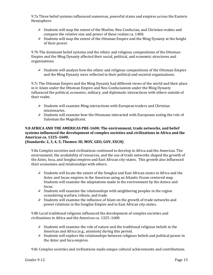9.7a Three belief systems influenced numerous, powerful states and empires across the Eastern Hemisphere.

- $\triangleright$  Students will map the extent of the Muslim, Neo-Confucian, and Christian realms and compare the relative size and power of these realms ca. 1400.
- $\triangleright$  Students will map the extent of the Ottoman Empire and the Ming Dynasty at the height of their power.

9.7b The dominant belief systems and the ethnic and religious compositions of the Ottoman Empire and the Ming Dynasty affected their social, political, and economic structures and organizations.

 $\triangleright$  Students will analyze how the ethnic and religious compositions of the Ottoman Empire and the Ming Dynasty were reflected in their political and societal organizations.

9.7c The Ottoman Empire and the Ming Dynasty had different views of the world and their place in it. Islam under the Ottoman Empire and Neo-Confucianism under the Ming Dynasty influenced the political, economic, military, and diplomatic interactions with others outside of their realm.

- $\triangleright$  Students will examine Ming interactions with European traders and Christian missionaries.
- $\triangleright$  Students will examine how the Ottomans interacted with Europeans noting the role of Suleiman the Magnificent.

### **9.8 AFRICA AND THE AMERICAS PRE-1600: The environment, trade networks, and belief systems influenced the development of complex societies and civilizations in Africa and the Americas ca. 1325–1600.**

**(Standards: 2, 3, 4, 5; Themes: ID, MOV, GEO, GOV, EXCH)**

9.8a Complex societies and civilizations continued to develop in Africa and the Americas. The environment, the availability of resources, and the use of trade networks shaped the growth of the Aztec, Inca, and Songhai empires and East African city-states. This growth also influenced their economies and relationships with others.

- $\triangleright$  Students will locate the extent of the Songhai and East African states in Africa and the Aztec and Incan empires in the Americas using an Atlantic Ocean-centered map. Students will examine the adaptations made to the environment by the Aztecs and Incas.
- $\triangleright$  Students will examine the relationships with neighboring peoples in the region considering warfare, tribute, and trade.
- $\triangleright$  Students will examine the influence of Islam on the growth of trade networks and power relations in the Songhai Empire and in East African city-states.

9.8b Local traditional religions influenced the development of complex societies and civilizations in Africa and the Americas ca. 1325–1600.

- $\triangleright$  Students will examine the role of nature and the traditional religious beliefs in the Americas and Africa (e.g., animism) during this period.
- $\triangleright$  Students will explore the relationships between religious beliefs and political power in the Aztec and Inca empires.

9.8c Complex societies and civilizations made unique cultural achievements and contributions.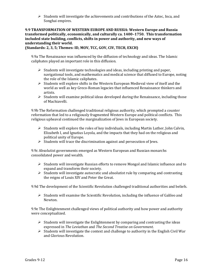$\triangleright$  Students will investigate the achievements and contributions of the Aztec, Inca, and Songhai empires.

**9.9 TRANSFORMATION OF WESTERN EUROPE AND RUSSIA: Western Europe and Russia transformed politically, economically, and culturally ca. 1400–1750. This transformation included state building, conflicts, shifts in power and authority, and new ways of understanding their world.** 

**(Standards: 2, 3, 5; Themes: ID, MOV, TCC, GOV, CIV, TECH, EXCH)**

9.9a The Renaissance was influenced by the diffusion of technology and ideas. The Islamic caliphates played an important role in this diffusion.

- $\triangleright$  Students will investigate technologies and ideas, including printing and paper, navigational tools, and mathematics and medical science that diffused to Europe, noting the role of the Islamic caliphates.
- $\triangleright$  Students will explore shifts in the Western European Medieval view of itself and the world as well as key Greco-Roman legacies that influenced Renaissance thinkers and artists.
- $\triangleright$  Students will examine political ideas developed during the Renaissance, including those of Machiavelli.

9.9b The Reformation challenged traditional religious authority, which prompted a counter reformation that led to a religiously fragmented Western Europe and political conflicts. This religious upheaval continued the marginalization of Jews in European society.

- $\triangleright$  Students will explore the roles of key individuals, including Martin Luther, John Calvin, Elizabeth I, and Ignatius Loyola, and the impacts that they had on the religious and political unity of Europe.
- $\triangleright$  Students will trace the discrimination against and persecution of Jews.

9.9c Absolutist governments emerged as Western European and Russian monarchs consolidated power and wealth.

- $\triangleright$  Students will investigate Russian efforts to remove Mongol and Islamic influence and to expand and transform their society.
- $\triangleright$  Students will investigate autocratic and absolutist rule by comparing and contrasting the reigns of Louis XIV and Peter the Great.

9.9d The development of the Scientific Revolution challenged traditional authorities and beliefs.

 $\triangleright$  Students will examine the Scientific Revolution, including the influence of Galileo and Newton.

9.9e The Enlightenment challenged views of political authority and how power and authority were conceptualized.

- $\triangleright$  Students will investigate the Enlightenment by comparing and contrasting the ideas expressed in *The Leviathan* and *The Second Treatise on Government*.
- $\triangleright$  Students will investigate the context and challenge to authority in the English Civil War and Glorious Revolution.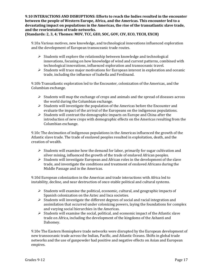**9.10 INTERACTIONS AND DISRUPTIONS: Efforts to reach the Indies resulted in the encounter between the people of Western Europe, Africa, and the Americas. This encounter led to a devastating impact on populations in the Americas, the rise of the transatlantic slave trade, and the reorientation of trade networks.**

**(Standards: 2, 3, 4; Themes: MOV, TCC, GEO, SOC, GOV, CIV, ECO, TECH, EXCH)**

9.10a Various motives, new knowledge, and technological innovations influenced exploration and the development of European transoceanic trade routes.

- $\triangleright$  Students will explore the relationship between knowledge and technological innovations, focusing on how knowledge of wind and current patterns, combined with technological innovations, influenced exploration and transoceanic travel.
- $\triangleright$  Students will trace major motivations for European interest in exploration and oceanic trade, including the influence of Isabella and Ferdinand.

9.10b Transatlantic exploration led to the Encounter, colonization of the Americas, and the Columbian exchange.

- $\triangleright$  Students will map the exchange of crops and animals and the spread of diseases across the world during the Columbian exchange.
- $\triangleright$  Students will investigate the population of the Americas before the Encounter and evaluate the impact of the arrival of the Europeans on the indigenous populations.
- $\triangleright$  Students will contrast the demographic impacts on Europe and China after the introduction of new crops with demographic effects on the Americas resulting from the Columbian exchange.

9.10c The decimation of indigenous populations in the Americas influenced the growth of the Atlantic slave trade. The trade of enslaved peoples resulted in exploitation, death, and the creation of wealth.

- $\triangleright$  Students will examine how the demand for labor, primarily for sugar cultivation and silver mining, influenced the growth of the trade of enslaved African peoples.
- $\triangleright$  Students will investigate European and African roles in the development of the slave trade, and investigate the conditions and treatment of enslaved Africans during the Middle Passage and in the Americas.

9.10d European colonization in the Americas and trade interactions with Africa led to instability, decline, and near destruction of once-stable political and cultural systems.

- $\triangleright$  Students will examine the political, economic, cultural, and geographic impacts of Spanish colonization on the Aztec and Inca societies.
- $\triangleright$  Students will investigate the different degrees of social and racial integration and assimilation that occurred under colonizing powers, laying the foundations for complex and varying social hierarchies in the Americas.
- $\triangleright$  Students will examine the social, political, and economic impact of the Atlantic slave trade on Africa, including the development of the kingdoms of the Ashanti and Dahomey.

9.10e The Eastern Hemisphere trade networks were disrupted by the European development of new transoceanic trade across the Indian, Pacific, and Atlantic Oceans. Shifts in global trade networks and the use of gunpowder had positive and negative effects on Asian and European empires.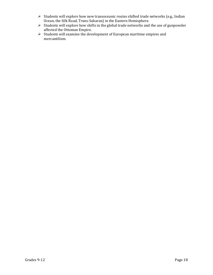- $\triangleright$  Students will explore how new transoceanic routes shifted trade networks (e.g., Indian Ocean, the Silk Road, Trans-Saharan) in the Eastern Hemisphere.
- $\triangleright$  Students will explore how shifts in the global trade networks and the use of gunpowder affected the Ottoman Empire.
- $\triangleright$  Students will examine the development of European maritime empires and mercantilism.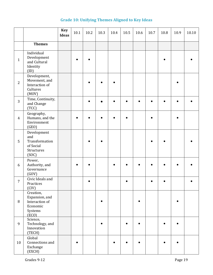### **Grade 10: Unifying Themes Aligned to Key Ideas**

<span id="page-19-0"></span>

|                |                                                                               | <b>Key</b><br><b>Ideas</b> | 10.1 | 10.2 | 10.3 | 10.4 | 10.5 | 10.6 | 10.7 | 10.8 | 10.9 | 10.10 |
|----------------|-------------------------------------------------------------------------------|----------------------------|------|------|------|------|------|------|------|------|------|-------|
|                | <b>Themes</b>                                                                 |                            |      |      |      |      |      |      |      |      |      |       |
| $\mathbf{1}$   | Individual<br>Development<br>and Cultural<br>Identity<br>(ID)                 |                            |      |      |      |      |      |      |      |      |      |       |
| $\overline{2}$ | Development,<br>Movement, and<br>Interaction of<br>Cultures<br>(MOV)          |                            |      |      |      |      |      |      |      |      |      |       |
| 3              | Time, Continuity,<br>and Change<br>(TCC)                                      |                            |      |      |      |      |      |      |      |      |      |       |
| $\overline{4}$ | Geography,<br>Humans, and the<br>Environment<br>(GEO)                         |                            |      |      |      |      |      |      |      |      |      |       |
| 5              | Development<br>and<br>Transformation<br>of Social<br>Structures<br>(SOC)      |                            |      |      |      |      |      |      |      |      |      |       |
| 6              | Power,<br>Authority, and<br>Governance<br>(GOV)                               |                            |      |      |      |      |      |      |      |      |      |       |
| 7              | Civic Ideals and<br>Practices<br>(CIV)                                        |                            |      |      |      |      |      |      |      |      |      |       |
| 8              | Creation,<br>Expansion, and<br>Interaction of<br>Economic<br>Systems<br>(ECO) |                            |      |      |      |      |      |      |      |      |      |       |
| 9              | Science,<br>Technology, and<br>Innovation<br>(TECH)                           |                            |      |      |      |      |      |      |      |      |      |       |
| 10             | Global<br>Connections and<br>Exchange<br>(EXCH)                               |                            |      |      |      |      |      |      |      |      |      |       |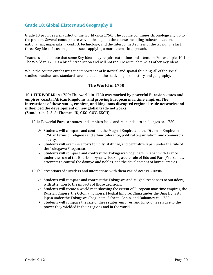### <span id="page-20-0"></span>**Grade 10: Global History and Geography II**

Grade 10 provides a snapshot of the world circa 1750. The course continues chronologically up to the present. Several concepts are woven throughout the course including industrialization, nationalism, imperialism, conflict, technology, and the interconnectedness of the world. The last three Key Ideas focus on global issues, applying a more thematic approach.

Teachers should note that some Key Ideas may require extra time and attention. For example, 10.1 The World in 1750 is a brief introduction and will not require as much time as other Key Ideas.

While the course emphasizes the importance of historical and spatial thinking, all of the social studies practices and standards are included in the study of global history and geography.

### **The World in 1750**

**10.1 THE WORLD in 1750: The world in 1750 was marked by powerful Eurasian states and empires, coastal African kingdoms, and growing European maritime empires. The interactions of these states, empires, and kingdoms disrupted regional trade networks and influenced the development of new global trade networks. (Standards: 2, 3, 5; Themes: ID, GEO, GOV, EXCH)**

10.1a Powerful Eurasian states and empires faced and responded to challenges ca. 1750.

- $\triangleright$  Students will compare and contrast the Mughal Empire and the Ottoman Empire in 1750 in terms of religious and ethnic tolerance, political organization, and commercial activity.
- $\triangleright$  Students will examine efforts to unify, stabilize, and centralize Japan under the rule of the Tokugawa Shogunate.
- $\triangleright$  Students will compare and contrast the Tokugawa Shogunate in Japan with France under the rule of the Bourbon Dynasty, looking at the role of Edo and Paris/Versailles, attempts to control the daimyo and nobles, and the development of bureaucracies.

10.1b Perceptions of outsiders and interactions with them varied across Eurasia.

- $\triangleright$  Students will compare and contrast the Tokugawa and Mughal responses to outsiders, with attention to the impacts of those decisions.
- $\triangleright$  Students will create a world map showing the extent of European maritime empires, the Russian Empire, the Ottoman Empire, Mughal Empire, China under the Qing Dynasty, Japan under the Tokugawa Shogunate, Ashanti, Benin, and Dahomey ca. 1750.
- $\triangleright$  Students will compare the size of these states, empires, and kingdoms relative to the power they wielded in their regions and in the world.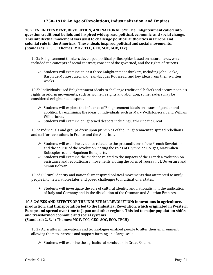### **1750–1914: An Age of Revolutions, Industrialization, and Empires**

**10.2: ENLIGHTENMENT, REVOLUTION, AND NATIONALISM: The Enlightenment called into question traditional beliefs and inspired widespread political, economic, and social change. This intellectual movement was used to challenge political authorities in Europe and colonial rule in the Americas. These ideals inspired political and social movements. (Standards: 2, 3, 5; Themes: MOV, TCC, GEO, SOC, GOV, CIV)**

10.2a Enlightenment thinkers developed political philosophies based on natural laws, which included the concepts of social contract, consent of the governed, and the rights of citizens.

 $\triangleright$  Students will examine at least three Enlightenment thinkers, including John Locke, Baron de Montesquieu, and Jean-Jacques Rousseau, and key ideas from their written works.

10.2b Individuals used Enlightenment ideals to challenge traditional beliefs and secure people's rights in reform movements, such as women's rights and abolition; some leaders may be considered enlightened despots.

- $\triangleright$  Students will explore the influence of Enlightenment ideals on issues of gender and abolition by examining the ideas of individuals such as Mary Wollstonecraft and William Wilberforce.
- $\triangleright$  Students will examine enlightened despots including Catherine the Great.

10.2c Individuals and groups drew upon principles of the Enlightenment to spread rebellions and call for revolutions in France and the Americas.

- $\triangleright$  Students will examine evidence related to the preconditions of the French Revolution and the course of the revolution, noting the roles of Olympe de Gouges, Maximilien Robespierre, and Napoleon Bonaparte.
- $\triangleright$  Students will examine the evidence related to the impacts of the French Revolution on resistance and revolutionary movements, noting the roles of Toussaint L'Ouverture and Simon Bolivar.

10.2d Cultural identity and nationalism inspired political movements that attempted to unify people into new nation-states and posed challenges to multinational states.

 $\triangleright$  Students will investigate the role of cultural identity and nationalism in the unification of Italy and Germany and in the dissolution of the Ottoman and Austrian Empires.

### **10.3 CAUSES AND EFFECTS OF THE INDUSTRIAL REVOLUTION: Innovations in agriculture, production, and transportation led to the Industrial Revolution, which originated in Western Europe and spread over time to Japan and other regions. This led to major population shifts and transformed economic and social systems. (Standard: 2, 3, 4; Themes: MOV, TCC, GEO, SOC, ECO, TECH)**

10.3a Agricultural innovations and technologies enabled people to alter their environment, allowing them to increase and support farming on a large scale.

 $\triangleright$  Students will examine the agricultural revolution in Great Britain.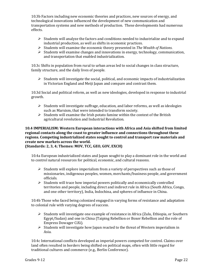10.3b Factors including new economic theories and practices, new sources of energy, and technological innovations influenced the development of new communication and transportation systems and new methods of production. These developments had numerous effects.

- $\triangleright$  Students will analyze the factors and conditions needed to industrialize and to expand industrial production, as well as shifts in economic practices.
- ¾ Students will examine the economic theory presented in *The Wealth of Nations*.
- $\triangleright$  Students will examine changes and innovations in energy, technology, communication, and transportation that enabled industrialization.

10.3c Shifts in population from rural to urban areas led to social changes in class structure, family structure, and the daily lives of people.

 $\triangleright$  Students will investigate the social, political, and economic impacts of industrialization in Victorian England and Meiji Japan and compare and contrast them.

10.3d Social and political reform, as well as new ideologies, developed in response to industrial growth.

- $\triangleright$  Students will investigate suffrage, education, and labor reforms, as well as ideologies such as Marxism, that were intended to transform society.
- $\triangleright$  Students will examine the Irish potato famine within the context of the British agricultural revolution and Industrial Revolution.

### **10.4 IMPERIALISM: Western European interactions with Africa and Asia shifted from limited regional contacts along the coast to greater influence and connections throughout these regions. Competing industrialized states sought to control and transport raw materials and create new markets across the world.**

**(Standards: 2, 3, 4; Themes: MOV, TCC, GEO, GOV, EXCH)**

10.4a European industrialized states and Japan sought to play a dominant role in the world and to control natural resources for political, economic, and cultural reasons.

- $\triangleright$  Students will explore imperialism from a variety of perspectives such as those of missionaries, indigenous peoples, women, merchants/business people, and government officials.
- $\triangleright$  Students will trace how imperial powers politically and economically controlled territories and people, including direct and indirect rule in Africa (South Africa, Congo, and one other territory), India, Indochina, and spheres of influence in China.

10.4b Those who faced being colonized engaged in varying forms of resistance and adaptation to colonial rule with varying degrees of success.

- $\triangleright$  Students will investigate one example of resistance in Africa (Zulu, Ethiopia, or Southern Egypt/Sudan) and one in China (Taiping Rebellion or Boxer Rebellion and the role of Empress Dowager CiXi).
- $\triangleright$  Students will investigate how Japan reacted to the threat of Western imperialism in Asia.

10.4c International conflicts developed as imperial powers competed for control. Claims over land often resulted in borders being shifted on political maps, often with little regard for traditional cultures and commerce (e.g., Berlin Conference).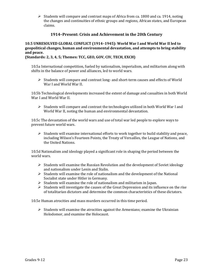$\triangleright$  Students will compare and contrast maps of Africa from ca. 1800 and ca. 1914, noting the changes and continuities of ethnic groups and regions, African states, and European claims.

### **1914–Present: Crisis and Achievement in the 20th Century**

### **10.5 UNRESOLVED GLOBAL CONFLICT (1914–1945): World War I and World War II led to geopolitical changes, human and environmental devastation, and attempts to bring stability and peace.**

**(Standards: 2, 3, 4, 5; Themes: TCC, GEO, GOV, CIV, TECH, EXCH)**

10.5a International competition, fueled by nationalism, imperialism, and militarism along with shifts in the balance of power and alliances, led to world wars.

 $\triangleright$  Students will compare and contrast long- and short-term causes and effects of World War I and World War II.

10.5b Technological developments increased the extent of damage and casualties in both World War I and World War II.

 $\triangleright$  Students will compare and contrast the technologies utilized in both World War I and World War II, noting the human and environmental devastation.

10.5c The devastation of the world wars and use of total war led people to explore ways to prevent future world wars.

 $\triangleright$  Students will examine international efforts to work together to build stability and peace, including Wilson's Fourteen Points, the Treaty of Versailles, the League of Nations, and the United Nations.

10.5d Nationalism and ideology played a significant role in shaping the period between the world wars.

- $\triangleright$  Students will examine the Russian Revolution and the development of Soviet ideology and nationalism under Lenin and Stalin.
- $\triangleright$  Students will examine the role of nationalism and the development of the National Socialist state under Hitler in Germany.
- $\triangleright$  Students will examine the role of nationalism and militarism in Japan.
- $\triangleright$  Students will investigate the causes of the Great Depression and its influence on the rise of totalitarian dictators and determine the common characteristics of these dictators.

10.5e Human atrocities and mass murders occurred in this time period.

 $\triangleright$  Students will examine the atrocities against the Armenians; examine the Ukrainian Holodomor, and examine the Holocaust.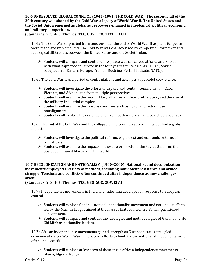### **10.6 UNRESOLVED GLOBAL CONFLICT (1945–1991: THE COLD WAR): The second half of the 20th century was shaped by the Cold War, a legacy of World War II. The United States and the Soviet Union emerged as global superpowers engaged in ideological, political, economic, and military competition.**

### **(Standards: 2, 3, 4, 5; Themes: TCC, GOV, ECO, TECH, EXCH)**

10.6a The Cold War originated from tensions near the end of World War II as plans for peace were made and implemented. The Cold War was characterized by competition for power and ideological differences between the United States and the Soviet Union.

 $\triangleright$  Students will compare and contrast how peace was conceived at Yalta and Potsdam with what happened in Europe in the four years after World War II (i.e., Soviet occupation of Eastern Europe, Truman Doctrine, Berlin blockade, NATO).

10.6b The Cold War was a period of confrontations and attempts at peaceful coexistence.

- $\triangleright$  Students will investigate the efforts to expand and contain communism in Cuba, Vietnam, and Afghanistan from multiple perspectives.
- $\triangleright$  Students will examine the new military alliances, nuclear proliferation, and the rise of the military-industrial complex.
- $\triangleright$  Students will examine the reasons countries such as Egypt and India chose nonalignment.
- $\triangleright$  Students will explore the era of détente from both American and Soviet perspectives.

10.6c The end of the Cold War and the collapse of the communist bloc in Europe had a global impact.

- $\triangleright$  Students will investigate the political reforms of glasnost and economic reforms of perestroika.
- $\triangleright$  Students will examine the impacts of those reforms within the Soviet Union, on the Soviet communist bloc, and in the world.

**10.7 DECOLONIZATION AND NATIONALISM (1900–2000): Nationalist and decolonization movements employed a variety of methods, including nonviolent resistance and armed struggle. Tensions and conflicts often continued after independence as new challenges arose.**

**(Standards: 2, 3, 4, 5; Themes: TCC, GEO, SOC, GOV, CIV,)**

10.7a Independence movements in India and Indochina developed in response to European control.

- $\triangleright$  Students will explore Gandhi's nonviolent nationalist movement and nationalist efforts led by the Muslim League aimed at the masses that resulted in a British-partitioned subcontinent.
- $\triangleright$  Students will compare and contrast the ideologies and methodologies of Gandhi and Ho Chi Minh as nationalist leaders.

10.7b African independence movements gained strength as European states struggled economically after World War II. European efforts to limit African nationalist movements were often unsuccessful.

 $\triangleright$  Students will explore at least two of these three African independence movements: Ghana, Algeria, Kenya.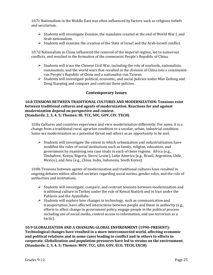10.7c Nationalism in the Middle East was often influenced by factors such as religious beliefs and secularism.

- $\triangleright$  Students will investigate Zionism, the mandates created at the end of World War I, and Arab nationalism.
- $\triangleright$  Students will examine the creation of the State of Israel and the Arab-Israeli conflict.

10.7d Nationalism in China influenced the removal of the imperial regime, led to numerous conflicts, and resulted in the formation of the communist People's Republic of China.

- $\triangleright$  Students will trace the Chinese Civil War, including the role of warlords, nationalists, communists, and the world wars that resulted in the division of China into a communistrun People's Republic of China and a nationalist-run Taiwan.
- $\triangleright$  Students will investigate political, economic, and social policies under Mao Zedong and Deng Xiaoping and compare and contrast these policies.

### **Contemporary Issues**

### **10.8 TENSIONS BETWEEN TRADITIONAL CULTURES AND MODERNIZATION: Tensions exist between traditional cultures and agents of modernization. Reactions for and against modernization depend on perspective and context. (Standards: 2, 3, 4, 5; Themes: ID, TCC, SOC, GOV, CIV, TECH)**

10.8a Cultures and countries experience and view modernization differently. For some, it is a change from a traditional rural, agrarian condition to a secular, urban, industrial condition. Some see modernization as a potential threat and others as an opportunity to be met.

 $\triangleright$  Students will investigate the extent to which urbanization and industrialization have modified the roles of social institutions such as family, religion, education, and government by examining one case study in each of these regions: Africa (e.g., Zimbabwe, Kenya, Nigeria, Sierra Leone), Latin America (e.g., Brazil, Argentina, Chile, Mexico), and Asia (e.g., China, India, Indonesia, South Korea).

10.8b Tensions between agents of modernization and traditional cultures have resulted in ongoing debates within affected societies regarding social norms, gender roles, and the role of authorities and institutions.

- $\triangleright$  Students will investigate, compare, and contrast tensions between modernization and traditional culture in Turkey under the rule of Kemal Atatürk and in Iran under the Pahlavis and the Ayatollahs.
- $\triangleright$  Students will explore how changes in technology, such as communication and transportation, have affected interactions between people and those in authority (e.g., efforts to affect change in government policy, engage people in the political process including use of social media, control access to information, and use terrorism as a tactic).

**10.9 GLOBALIZATION AND A CHANGING GLOBAL ENVIRONMENT (1990–PRESENT): Technological changes have resulted in a more interconnected world, affecting economic and political relations and in some cases leading to conflict and in others to efforts to cooperate. Globalization and population pressures have led to strains on the environment. (Standards: 2, 3, 4, 5; Themes: MOV, TCC, GEO, GOV, ECO, TECH, EXCH)**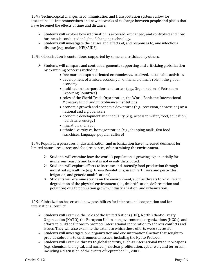10.9a Technological changes in communication and transportation systems allow for instantaneous interconnections and new networks of exchange between people and places that have lessened the effects of time and distance.

- $\triangleright$  Students will explore how information is accessed, exchanged, and controlled and how business is conducted in light of changing technology.
- $\triangleright$  Students will investigate the causes and effects of, and responses to, one infectious disease (e.g., malaria, HIV/AIDS).

10.9b Globalization is contentious, supported by some and criticized by others.

- $\triangleright$  Students will compare and contrast arguments supporting and criticizing globalization by examining concerns including:
	- free market, export-oriented economies vs. localized, sustainable activities
	- development of a mixed economy in China and China's role in the global economy
	- multinational corporations and cartels (e.g., Organization of Petroleum Exporting Countries)
	- roles of the World Trade Organization, the World Bank, the International Monetary Fund, and microfinance institutions
	- economic growth and economic downturns (e.g., recession, depression) on a national and a global scale
	- economic development and inequality (e.g., access to water, food, education, health care, energy)
	- migration and labor
	- ethnic diversity vs. homogenization (e.g., shopping malls, fast food franchises, language, popular culture)

10.9c Population pressures, industrialization, and urbanization have increased demands for limited natural resources and food resources, often straining the environment.

- $\triangleright$  Students will examine how the world's population is growing exponentially for numerous reasons and how it is not evenly distributed.
- $\triangleright$  Students will explore efforts to increase and intensify food production through industrial agriculture (e.g., Green Revolutions, use of fertilizers and pesticides, irrigation, and genetic modifications).
- $\triangleright$  Students will examine strains on the environment, such as threats to wildlife and degradation of the physical environment (i.e., desertification, deforestation and pollution) due to population growth, industrialization, and urbanization.

10.9d Globalization has created new possibilities for international cooperation and for international conflict.

- $\triangleright$  Students will examine the roles of the United Nations (UN), North Atlantic Treaty Organization (NATO), the European Union, nongovernmental organizations (NGOs), and efforts to build coalitions to promote international cooperation to address conflicts and issues. They will also examine the extent to which these efforts were successful.
- $\triangleright$  Students will investigate one organization and one international action that sought to provide solutions to environmental issues, including the Kyoto Protocol.
- $\triangleright$  Students will examine threats to global security, such as international trade in weapons (e.g., chemical, biological, and nuclear), nuclear proliferation, cyber war, and terrorism, including a discussion of the events of September 11, 2001.